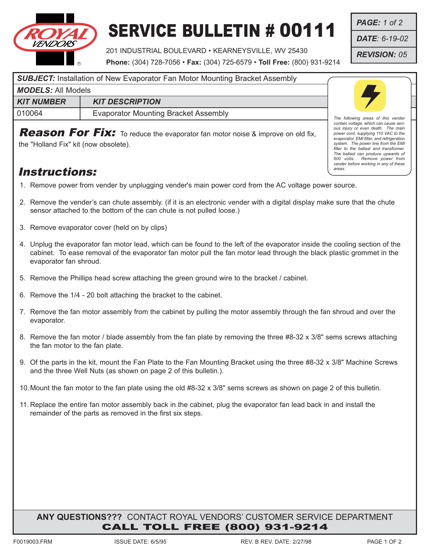

## SERVICE BULLETIN # 00111

201 INDUSTRIAL BOULEVARD • KEARNEYSVILLE, WV 25430

**Phone:** (304) 728-7056 • **Fax:** (304) 725-6579 • **Toll Free:** (800) 931-9214

*PAGE: 1 of 2*

*DATE: 6-19-02*

*REVISION: 05*

*The following areas of this vender contain voltage, which can cause seri-ous injury or even death. The main power cord, supplying 110 VAC to the evaporator, EMI filter, and refrigeration system. The power line from the EMI filter to the ballast and transformer. The ballast can produce upwards of 600 volts. Remove power from vender before working in any of these*

*areas.*

| SUBJECT: Installation of New Evaporator Fan Motor Mounting Bracket Assembly |                                      |  |
|-----------------------------------------------------------------------------|--------------------------------------|--|
| <b>MODELS: All Models</b>                                                   |                                      |  |
| <b>KIT NUMBER</b>                                                           | <b>KIT DESCRIPTION</b>               |  |
| 010064                                                                      | Evaporator Mounting Bracket Assembly |  |

Reason For Fix: To reduce the evaporator fan motor noise & improve on old fix,

the "Holland Fix" kit (now obsolete).

## Instructions:

- 1. Remove power from vender by unplugging vender's main power cord from the AC voltage power source.
- 2. Remove the vender's can chute assembly. (if it is an electronic vender with a digital display make sure that the chute sensor attached to the bottom of the can chute is not pulled loose.)
- 3. Remove evaporator cover (held on by clips)
- 4. Unplug the evaporator fan motor lead, which can be found to the left of the evaporator inside the cooling section of the cabinet. To ease removal of the evaporator fan motor pull the fan motor lead through the black plastic grommet in the evaporator fan shroud.
- 5. Remove the Phillips head screw attaching the green ground wire to the bracket / cabinet.
- 6. Remove the 1/4 20 bolt attaching the bracket to the cabinet.
- 7. Remove the fan motor assembly from the cabinet by pulling the motor assembly through the fan shroud and over the evaporator.
- 8. Remove the fan motor / blade assembly from the fan plate by removing the three #8-32 x 3/8" sems screws attaching the fan motor to the fan plate.
- 9. Of the parts in the kit, mount the Fan Plate to the Fan Mounting Bracket using the three #8-32 x 3/8" Machine Screws and the three Well Nuts (as shown on page 2 of this bulletin.).
- 10.Mount the fan motor to the fan plate using the old #8-32 x 3/8" sems screws as shown on page 2 of this bulletin.
- 11. Replace the entire fan motor assembly back in the cabinet, plug the evaporator fan lead back in and install the remainder of the parts as removed in the first six steps.

## **ANY QUESTIONS???** CONTACT ROYAL VENDORS' CUSTOMER SERVICE DEPARTMENT CALL TOLL FREE (800) 931-9214